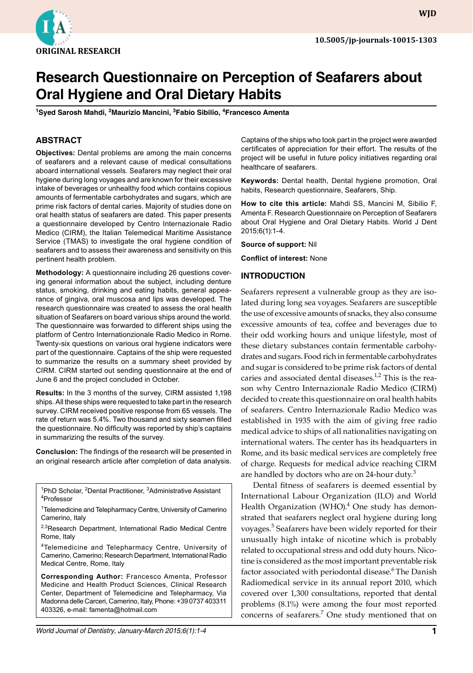

**WJD**

# **Research Questionnaire on Perception of Seafarers about Oral Hygiene and Oral Dietary Habits**

**1 Syed Sarosh Mahdi, 2 Maurizio Mancini, 3 Fabio Sibilio, 4 Francesco Amenta**

# **ABSTRACT**

**Objectives:** Dental problems are among the main concerns of seafarers and a relevant cause of medical consultations aboard international vessels. Seafarers may neglect their oral hygiene during long voyages and are known for their excessive intake of beverages or unhealthy food which contains copious amounts of fermentable carbohydrates and sugars, which are prime risk factors of dental caries. Majority of studies done on oral health status of seafarers are dated. This paper presents a questionnaire developed by Centro Internazionale Radio Medico (CIRM), the Italian Telemedical Maritime Assistance Service (TMAS) to investigate the oral hygiene condition of seafarers and to assess their awareness and sensitivity on this pertinent health problem.

**Methodology:** A questionnaire including 26 questions covering general information about the subject, including denture status, smoking, drinking and eating habits, general appearance of gingiva, oral muscosa and lips was developed. The research questionnaire was created to assess the oral health situation of Seafarers on board various ships around the world. The questionnaire was forwarded to different ships using the platform of Centro Internationzionale Radio Medico in Rome. Twenty-six questions on various oral hygiene indicators were part of the questionnaire. Captains of the ship were requested to summarize the results on a summary sheet provided by CIRM. CIRM started out sending questionnaire at the end of June 6 and the project concluded in October.

**Results:** In the 3 months of the survey, CIRM assisted 1,198 ships. All these ships were requested to take part in the research survey. CIRM received positive response from 65 vessels. The rate of return was 5.4%. Two thousand and sixty seamen filled the questionnaire. No difficulty was reported by ship's captains in summarizing the results of the survey.

**Conclusion:** The findings of the research will be presented in an original research article after completion of data analysis.

<sup>1</sup>PhD Scholar, <sup>2</sup>Dental Practitioner, <sup>3</sup>Administrative Assistant<br><sup>4</sup>Professor Professor

<sup>2,3</sup>Research Department, International Radio Medical Centre Rome, Italy

4Telemedicine and Telepharmacy Centre, University of Camerino, Camerino; Research Department, International Radio Medical Centre, Rome, Italy

**Corresponding Author:** Francesco Amenta, Professor Medicine and Health Product Sciences, Clinical Research Center, Department of Telemedicine and Telepharmacy, Via Madonna delle Carceri, Camerino, Italy, Phone: +39 0737 403311 403326, e-mail: famenta@hotmail.com

Captains of the ships who took part in the project were awarded certificates of appreciation for their effort. The results of the project will be useful in future policy initiatives regarding oral healthcare of seafarers.

**Keywords:** Dental health, Dental hygiene promotion, Oral habits, Research questionnaire, Seafarers, Ship.

**How to cite this article:** Mahdi SS, Mancini M, Sibilio F, Amenta F. Research Questionnaire on Perception of Seafarers about Oral Hygiene and Oral Dietary Habits. World J Dent 2015;6(1):1-4.

**Source of support:** Nil

**Conflict of interest:** None

#### **Introduction**

Seafarers represent a vulnerable group as they are isolated during long sea voyages. Seafarers are susceptible the use of excessive amounts of snacks, they also consume excessive amounts of tea, coffee and beverages due to their odd working hours and unique lifestyle, most of these dietary substances contain fermentable carbohydrates and sugars. Food rich in fermentable carbohydrates and sugar is considered to be prime risk factors of dental caries and associated dental diseases. $1/2$  This is the reason why Centro Internazionale Radio Medico (CIRM) decided to create this questionnaire on oral health habits of seafarers. Centro Internazionale Radio Medico was established in 1935 with the aim of giving free radio medical advice to ships of all nationalities navigating on international waters. The center has its headquarters in Rome, and its basic medical services are completely free of charge. Requests for medical advice reaching CIRM are handled by doctors who are on 24-hour duty.<sup>3</sup>

Dental fitness of seafarers is deemed essential by International Labour Organization (ILO) and World Health Organization (WHO).<sup>4</sup> One study has demonstrated that seafarers neglect oral hygiene during long voyages.<sup>5</sup> Seafarers have been widely reported for their unusually high intake of nicotine which is probably related to occupational stress and odd duty hours. Nicotine is considered as the most important preventable risk factor associated with periodontal disease.<sup>6</sup> The Danish Radiomedical service in its annual report 2010, which covered over 1,300 consultations, reported that dental problems (8.1%) were among the four most reported concerns of seafarers.<sup>7</sup> One study mentioned that on

*World Journal of Dentistry, January-March 2015;6(1):1-4* **1**

<sup>&</sup>lt;sup>1</sup>Telemedicine and Telepharmacy Centre, University of Camerino Camerino, Italy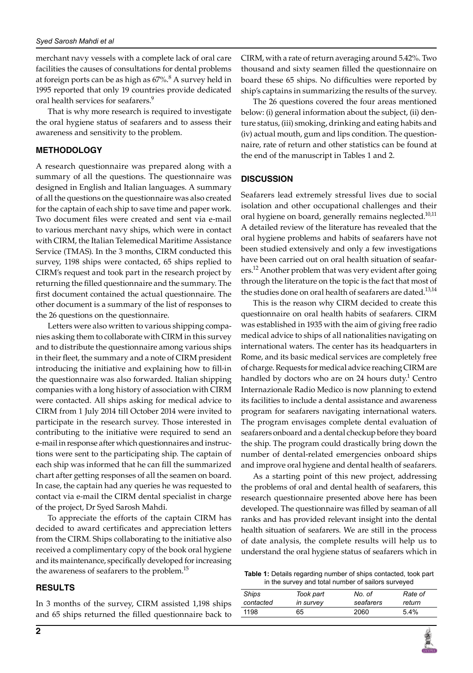merchant navy vessels with a complete lack of oral care facilities the causes of consultations for dental problems at foreign ports can be as high as 67%.<sup>8</sup> A survey held in 1995 reported that only 19 countries provide dedicated oral health services for seafarers.<sup>9</sup>

That is why more research is required to investigate the oral hygiene status of seafarers and to assess their awareness and sensitivity to the problem.

# **Methodology**

A research questionnaire was prepared along with a summary of all the questions. The questionnaire was designed in English and Italian languages. A summary of all the questions on the questionnaire was also created for the captain of each ship to save time and paper work. Two document files were created and sent via e-mail to various merchant navy ships, which were in contact with CIRM, the Italian Telemedical Maritime Assistance Service (TMAS). In the 3 months, CIRM conducted this survey, 1198 ships were contacted, 65 ships replied to CIRM's request and took part in the research project by returning the filled questionnaire and the summary. The first document contained the actual questionnaire. The other document is a summary of the list of responses to the 26 questions on the questionnaire.

Letters were also written to various shipping companies asking them to collaborate with CIRM in this survey and to distribute the questionnaire among various ships in their fleet, the summary and a note of CIRM president introducing the initiative and explaining how to fill-in the questionnaire was also forwarded. Italian shipping companies with a long history of association with CIRM were contacted. All ships asking for medical advice to CIRM from 1 July 2014 till October 2014 were invited to participate in the research survey. Those interested in contributing to the initiative were required to send an e-mail in response after which questionnaires and instructions were sent to the participating ship. The captain of each ship was informed that he can fill the summarized chart after getting responses of all the seamen on board. In case, the captain had any queries he was requested to contact via e-mail the CIRM dental specialist in charge of the project, Dr Syed Sarosh Mahdi.

To appreciate the efforts of the captain CIRM has decided to award certificates and appreciation letters from the CIRM. Ships collaborating to the initiative also received a complimentary copy of the book oral hygiene and its maintenance, specifically developed for increasing the awareness of seafarers to the problem.<sup>15</sup>

#### **Results**

In 3 months of the survey, CIRM assisted 1,198 ships and 65 ships returned the filled questionnaire back to CIRM, with a rate of return averaging around 5.42%. Two thousand and sixty seamen filled the questionnaire on board these 65 ships. No difficulties were reported by ship's captains in summarizing the results of the survey.

The 26 questions covered the four areas mentioned below: (i) general information about the subject, (ii) denture status, (iii) smoking, drinking and eating habits and (iv) actual mouth, gum and lips condition. The questionnaire, rate of return and other statistics can be found at the end of the manuscript in Tables 1 and 2.

## **Discussion**

Seafarers lead extremely stressful lives due to social isolation and other occupational challenges and their oral hygiene on board, generally remains neglected.<sup>10,11</sup> A detailed review of the literature has revealed that the oral hygiene problems and habits of seafarers have not been studied extensively and only a few investigations have been carried out on oral health situation of seafarers.<sup>12</sup> Another problem that was very evident after going through the literature on the topic is the fact that most of the studies done on oral health of seafarers are dated.<sup>13,14</sup>

This is the reason why CIRM decided to create this questionnaire on oral health habits of seafarers. CIRM was established in 1935 with the aim of giving free radio medical advice to ships of all nationalities navigating on international waters. The center has its headquarters in Rome, and its basic medical services are completely free of charge. Requests for medical advice reaching CIRM are handled by doctors who are on 24 hours duty.<sup>1</sup> Centro Internazionale Radio Medico is now planning to extend its facilities to include a dental assistance and awareness program for seafarers navigating international waters. The program envisages complete dental evaluation of seafarers onboard and a dental checkup before they board the ship. The program could drastically bring down the number of dental-related emergencies onboard ships and improve oral hygiene and dental health of seafarers.

As a starting point of this new project, addressing the problems of oral and dental health of seafarers, this research questionnaire presented above here has been developed. The questionnaire was filled by seaman of all ranks and has provided relevant insight into the dental health situation of seafarers. We are still in the process of date analysis, the complete results will help us to understand the oral hygiene status of seafarers which in

**Table 1:** Details regarding number of ships contacted, took part in the survey and total number of sailors surveyed

| Ships     | Took part | No. of    | Rate of |
|-----------|-----------|-----------|---------|
| contacted | in survey | seafarers | return  |
| 1198      | 65        | 2060      | $5.4\%$ |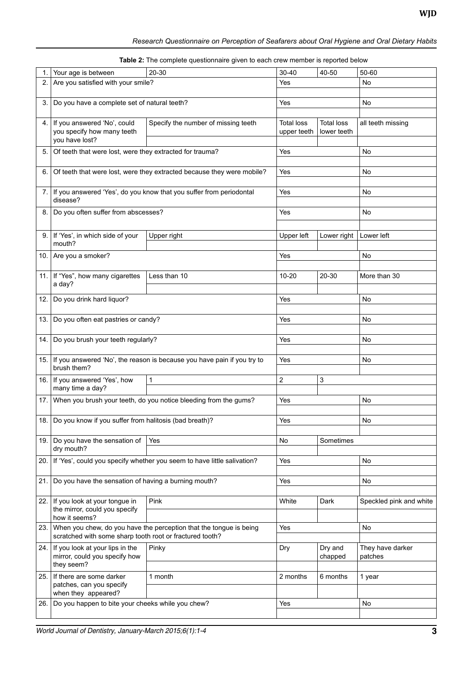## *Research Questionnaire on Perception of Seafarers about Oral Hygiene and Oral Dietary Habits*

|  | Table 2: The complete questionnaire given to each crew member is reported below |
|--|---------------------------------------------------------------------------------|
|--|---------------------------------------------------------------------------------|

| 1.   | Your age is between                                                                        | 20-30                                                                   | $30 - 40$       | 40-50             | 50-60                   |
|------|--------------------------------------------------------------------------------------------|-------------------------------------------------------------------------|-----------------|-------------------|-------------------------|
| 2.   | Are you satisfied with your smile?                                                         |                                                                         | Yes             |                   | No                      |
|      |                                                                                            |                                                                         |                 |                   |                         |
| 3.   | Do you have a complete set of natural teeth?                                               |                                                                         |                 |                   | No                      |
|      |                                                                                            |                                                                         |                 |                   |                         |
| 4.   | If you answered 'No', could                                                                | Specify the number of missing teeth                                     | Total loss      | <b>Total loss</b> | all teeth missing       |
|      | you specify how many teeth<br>you have lost?                                               |                                                                         | upper teeth     | lower teeth       |                         |
| 5.   | Of teeth that were lost, were they extracted for trauma?                                   |                                                                         | Yes             |                   | No                      |
|      |                                                                                            |                                                                         |                 |                   |                         |
| 6.   | Of teeth that were lost, were they extracted because they were mobile?                     |                                                                         | Yes             |                   | No                      |
|      |                                                                                            |                                                                         |                 |                   |                         |
|      | If you answered 'Yes', do you know that you suffer from periodontal<br>7.1<br>disease?     |                                                                         | Yes             |                   | No                      |
|      |                                                                                            |                                                                         |                 |                   |                         |
| 8.   | Do you often suffer from abscesses?                                                        |                                                                         | Yes             |                   | No                      |
|      |                                                                                            |                                                                         |                 |                   |                         |
| 9.   | If 'Yes', in which side of your                                                            | Upper right                                                             | Upper left      | Lower right       | Lower left              |
|      | mouth?                                                                                     |                                                                         |                 |                   |                         |
| 10.  | Are you a smoker?                                                                          |                                                                         | Yes             |                   | No                      |
|      |                                                                                            |                                                                         |                 |                   |                         |
|      | 11. If "Yes", how many cigarettes                                                          | Less than 10                                                            | $10 - 20$       | 20-30             | More than 30            |
|      | a day?                                                                                     |                                                                         |                 |                   |                         |
| 12.  | Do you drink hard liquor?                                                                  |                                                                         | Yes             |                   | No                      |
|      |                                                                                            |                                                                         |                 |                   |                         |
|      | 13.   Do you often eat pastries or candy?                                                  |                                                                         | Yes             |                   | No                      |
|      |                                                                                            |                                                                         |                 |                   |                         |
| 14.1 | Do you brush your teeth regularly?                                                         |                                                                         | Yes             |                   | No                      |
|      | 15. If you answered 'No', the reason is because you have pain if you try to<br>brush them? |                                                                         | Yes             |                   |                         |
|      |                                                                                            |                                                                         |                 |                   | No                      |
|      | 16. If you answered 'Yes', how                                                             | $\mathbf{1}$                                                            | $\sqrt{2}$<br>3 |                   |                         |
|      | many time a day?                                                                           |                                                                         |                 |                   |                         |
|      |                                                                                            | 17. When you brush your teeth, do you notice bleeding from the gums?    | Yes             |                   | No                      |
|      |                                                                                            |                                                                         |                 |                   |                         |
|      | 18. Do you know if you suffer from halitosis (bad breath)?                                 |                                                                         | Yes             |                   | No                      |
|      |                                                                                            |                                                                         |                 |                   |                         |
|      | 19. Do you have the sensation of                                                           | Yes                                                                     | No              | Sometimes         |                         |
|      | dry mouth?                                                                                 |                                                                         |                 |                   |                         |
| 20.  |                                                                                            | If 'Yes', could you specify whether you seem to have little salivation? | Yes             |                   | No                      |
|      |                                                                                            |                                                                         | Yes             |                   |                         |
| 21.  | Do you have the sensation of having a burning mouth?                                       |                                                                         |                 |                   | No                      |
|      | 22. If you look at your tongue in                                                          | Pink                                                                    | White<br>Dark   |                   | Speckled pink and white |
|      | the mirror, could you specify                                                              |                                                                         |                 |                   |                         |
|      | how it seems?                                                                              |                                                                         |                 |                   |                         |
| 23.  | When you chew, do you have the perception that the tongue is being                         |                                                                         | Yes             |                   | No                      |
|      | scratched with some sharp tooth root or fractured tooth?                                   |                                                                         |                 |                   |                         |
|      | 24. If you look at your lips in the<br>mirror, could you specify how<br>they seem?         | Pinky                                                                   | Dry             | Dry and           | They have darker        |
|      |                                                                                            |                                                                         |                 | chapped           | patches                 |
| 25.  | If there are some darker                                                                   | 1 month                                                                 | 2 months        | 6 months          | 1 year                  |
|      | patches, can you specify                                                                   |                                                                         |                 |                   |                         |
|      | when they appeared?                                                                        |                                                                         |                 |                   |                         |
| 26.  | Do you happen to bite your cheeks while you chew?                                          |                                                                         | Yes             |                   | No                      |
|      |                                                                                            |                                                                         |                 |                   |                         |